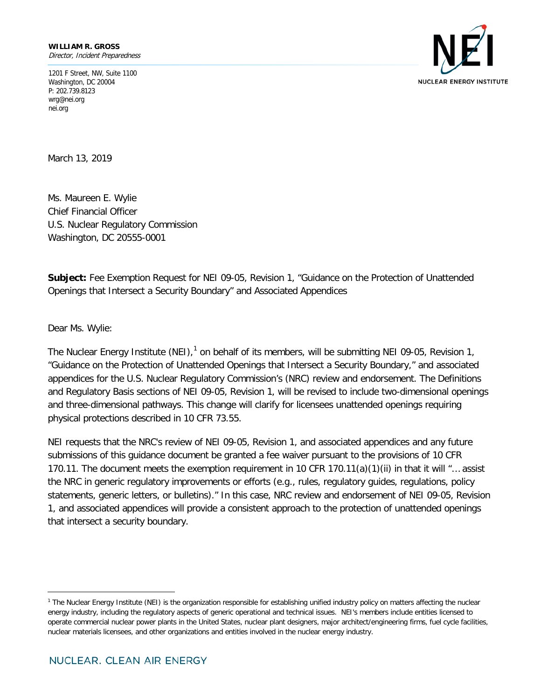1201 F Street, NW, Suite 1100 Washington, DC 20004 P: 202.739.8123 wrg@nei.org nei.org



March 13, 2019

Ms. Maureen E. Wylie Chief Financial Officer U.S. Nuclear Regulatory Commission Washington, DC 20555-0001

**Subject:** Fee Exemption Request for NEI 09-05, Revision 1, "Guidance on the Protection of Unattended Openings that Intersect a Security Boundary" and Associated Appendices

Dear Ms. Wylie:

The Nuclear Energy Institute (NEI),<sup>[1](#page-0-0)</sup> on behalf of its members, will be submitting NEI 09-05, Revision 1, "Guidance on the Protection of Unattended Openings that Intersect a Security Boundary," and associated appendices for the U.S. Nuclear Regulatory Commission's (NRC) review and endorsement. The Definitions and Regulatory Basis sections of NEI 09-05, Revision 1, will be revised to include two-dimensional openings and three-dimensional pathways. This change will clarify for licensees unattended openings requiring physical protections described in 10 CFR 73.55.

NEI requests that the NRC's review of NEI 09-05, Revision 1, and associated appendices and any future submissions of this guidance document be granted a fee waiver pursuant to the provisions of 10 CFR 170.11. The document meets the exemption requirement in 10 CFR 170.11(a)(1)(ii) in that it will "... assist the NRC in generic regulatory improvements or efforts (e.g., rules, regulatory guides, regulations, policy statements, generic letters, or bulletins)." In this case, NRC review and endorsement of NEI 09-05, Revision 1, and associated appendices will provide a consistent approach to the protection of unattended openings that intersect a security boundary.

<span id="page-0-0"></span><sup>&</sup>lt;sup>1</sup> The Nuclear Energy Institute (NEI) is the organization responsible for establishing unified industry policy on matters affecting the nuclear energy industry, including the regulatory aspects of generic operational and technical issues. NEI's members include entities licensed to operate commercial nuclear power plants in the United States, nuclear plant designers, major architect/engineering firms, fuel cycle facilities, nuclear materials licensees, and other organizations and entities involved in the nuclear energy industry.